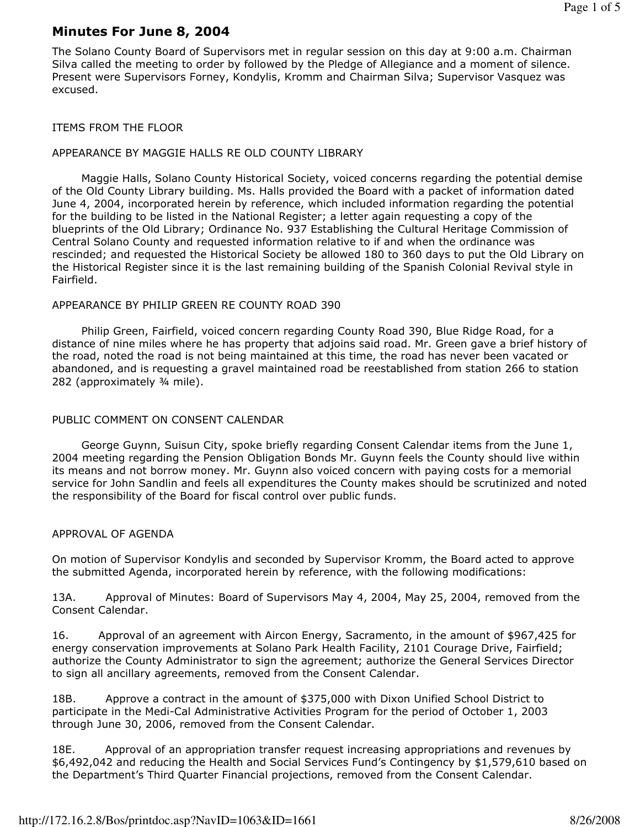# Minutes For June 8, 2004

The Solano County Board of Supervisors met in regular session on this day at 9:00 a.m. Chairman Silva called the meeting to order by followed by the Pledge of Allegiance and a moment of silence. Present were Supervisors Forney, Kondylis, Kromm and Chairman Silva; Supervisor Vasquez was excused.

#### ITEMS FROM THE FLOOR

### APPEARANCE BY MAGGIE HALLS RE OLD COUNTY LIBRARY

 Maggie Halls, Solano County Historical Society, voiced concerns regarding the potential demise of the Old County Library building. Ms. Halls provided the Board with a packet of information dated June 4, 2004, incorporated herein by reference, which included information regarding the potential for the building to be listed in the National Register; a letter again requesting a copy of the blueprints of the Old Library; Ordinance No. 937 Establishing the Cultural Heritage Commission of Central Solano County and requested information relative to if and when the ordinance was rescinded; and requested the Historical Society be allowed 180 to 360 days to put the Old Library on the Historical Register since it is the last remaining building of the Spanish Colonial Revival style in Fairfield.

#### APPEARANCE BY PHILIP GREEN RE COUNTY ROAD 390

 Philip Green, Fairfield, voiced concern regarding County Road 390, Blue Ridge Road, for a distance of nine miles where he has property that adjoins said road. Mr. Green gave a brief history of the road, noted the road is not being maintained at this time, the road has never been vacated or abandoned, and is requesting a gravel maintained road be reestablished from station 266 to station 282 (approximately ¾ mile).

### PUBLIC COMMENT ON CONSENT CALENDAR

 George Guynn, Suisun City, spoke briefly regarding Consent Calendar items from the June 1, 2004 meeting regarding the Pension Obligation Bonds Mr. Guynn feels the County should live within its means and not borrow money. Mr. Guynn also voiced concern with paying costs for a memorial service for John Sandlin and feels all expenditures the County makes should be scrutinized and noted the responsibility of the Board for fiscal control over public funds.

### APPROVAL OF AGENDA

On motion of Supervisor Kondylis and seconded by Supervisor Kromm, the Board acted to approve the submitted Agenda, incorporated herein by reference, with the following modifications:

13A. Approval of Minutes: Board of Supervisors May 4, 2004, May 25, 2004, removed from the Consent Calendar.

16. Approval of an agreement with Aircon Energy, Sacramento, in the amount of \$967,425 for energy conservation improvements at Solano Park Health Facility, 2101 Courage Drive, Fairfield; authorize the County Administrator to sign the agreement; authorize the General Services Director to sign all ancillary agreements, removed from the Consent Calendar.

18B. Approve a contract in the amount of \$375,000 with Dixon Unified School District to participate in the Medi-Cal Administrative Activities Program for the period of October 1, 2003 through June 30, 2006, removed from the Consent Calendar.

18E. Approval of an appropriation transfer request increasing appropriations and revenues by \$6,492,042 and reducing the Health and Social Services Fund's Contingency by \$1,579,610 based on the Department's Third Quarter Financial projections, removed from the Consent Calendar.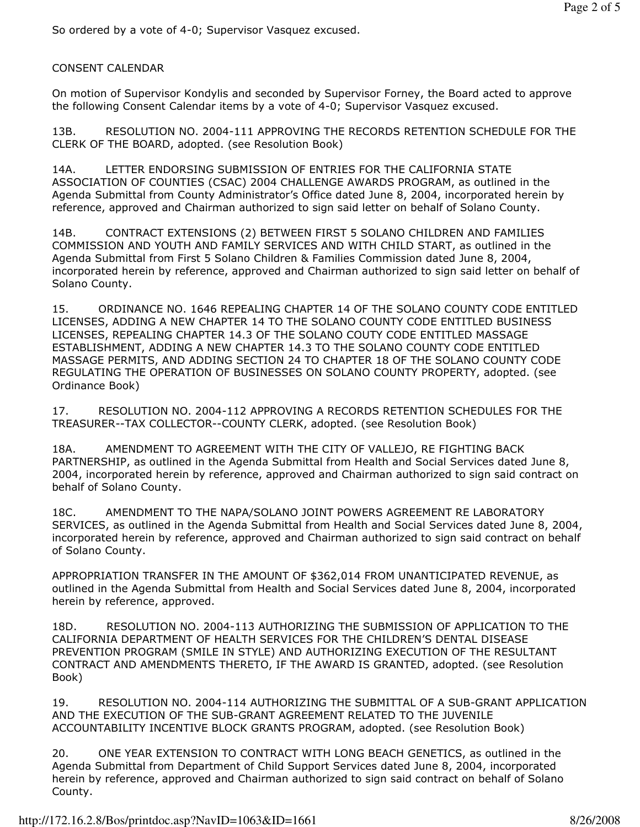So ordered by a vote of 4-0; Supervisor Vasquez excused.

## CONSENT CALENDAR

On motion of Supervisor Kondylis and seconded by Supervisor Forney, the Board acted to approve the following Consent Calendar items by a vote of 4-0; Supervisor Vasquez excused.

13B. RESOLUTION NO. 2004-111 APPROVING THE RECORDS RETENTION SCHEDULE FOR THE CLERK OF THE BOARD, adopted. (see Resolution Book)

14A. LETTER ENDORSING SUBMISSION OF ENTRIES FOR THE CALIFORNIA STATE ASSOCIATION OF COUNTIES (CSAC) 2004 CHALLENGE AWARDS PROGRAM, as outlined in the Agenda Submittal from County Administrator's Office dated June 8, 2004, incorporated herein by reference, approved and Chairman authorized to sign said letter on behalf of Solano County.

14B. CONTRACT EXTENSIONS (2) BETWEEN FIRST 5 SOLANO CHILDREN AND FAMILIES COMMISSION AND YOUTH AND FAMILY SERVICES AND WITH CHILD START, as outlined in the Agenda Submittal from First 5 Solano Children & Families Commission dated June 8, 2004, incorporated herein by reference, approved and Chairman authorized to sign said letter on behalf of Solano County.

15. ORDINANCE NO. 1646 REPEALING CHAPTER 14 OF THE SOLANO COUNTY CODE ENTITLED LICENSES, ADDING A NEW CHAPTER 14 TO THE SOLANO COUNTY CODE ENTITLED BUSINESS LICENSES, REPEALING CHAPTER 14.3 OF THE SOLANO COUTY CODE ENTITLED MASSAGE ESTABLISHMENT, ADDING A NEW CHAPTER 14.3 TO THE SOLANO COUNTY CODE ENTITLED MASSAGE PERMITS, AND ADDING SECTION 24 TO CHAPTER 18 OF THE SOLANO COUNTY CODE REGULATING THE OPERATION OF BUSINESSES ON SOLANO COUNTY PROPERTY, adopted. (see Ordinance Book)

17. RESOLUTION NO. 2004-112 APPROVING A RECORDS RETENTION SCHEDULES FOR THE TREASURER--TAX COLLECTOR--COUNTY CLERK, adopted. (see Resolution Book)

18A. AMENDMENT TO AGREEMENT WITH THE CITY OF VALLEJO, RE FIGHTING BACK PARTNERSHIP, as outlined in the Agenda Submittal from Health and Social Services dated June 8, 2004, incorporated herein by reference, approved and Chairman authorized to sign said contract on behalf of Solano County.

18C. AMENDMENT TO THE NAPA/SOLANO JOINT POWERS AGREEMENT RE LABORATORY SERVICES, as outlined in the Agenda Submittal from Health and Social Services dated June 8, 2004, incorporated herein by reference, approved and Chairman authorized to sign said contract on behalf of Solano County.

APPROPRIATION TRANSFER IN THE AMOUNT OF \$362,014 FROM UNANTICIPATED REVENUE, as outlined in the Agenda Submittal from Health and Social Services dated June 8, 2004, incorporated herein by reference, approved.

18D. RESOLUTION NO. 2004-113 AUTHORIZING THE SUBMISSION OF APPLICATION TO THE CALIFORNIA DEPARTMENT OF HEALTH SERVICES FOR THE CHILDREN'S DENTAL DISEASE PREVENTION PROGRAM (SMILE IN STYLE) AND AUTHORIZING EXECUTION OF THE RESULTANT CONTRACT AND AMENDMENTS THERETO, IF THE AWARD IS GRANTED, adopted. (see Resolution Book)

19. RESOLUTION NO. 2004-114 AUTHORIZING THE SUBMITTAL OF A SUB-GRANT APPLICATION AND THE EXECUTION OF THE SUB-GRANT AGREEMENT RELATED TO THE JUVENILE ACCOUNTABILITY INCENTIVE BLOCK GRANTS PROGRAM, adopted. (see Resolution Book)

20. ONE YEAR EXTENSION TO CONTRACT WITH LONG BEACH GENETICS, as outlined in the Agenda Submittal from Department of Child Support Services dated June 8, 2004, incorporated herein by reference, approved and Chairman authorized to sign said contract on behalf of Solano County.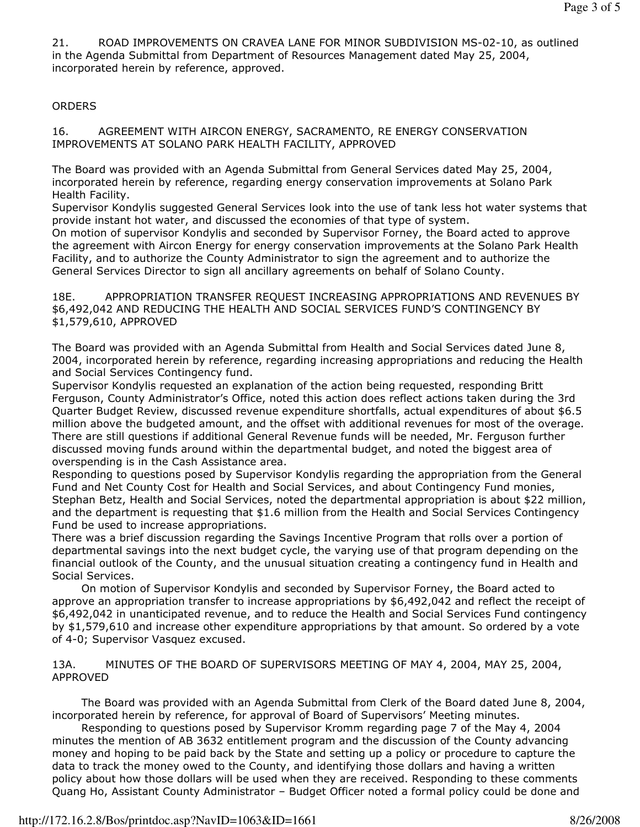21. ROAD IMPROVEMENTS ON CRAVEA LANE FOR MINOR SUBDIVISION MS-02-10, as outlined in the Agenda Submittal from Department of Resources Management dated May 25, 2004, incorporated herein by reference, approved.

## **ORDERS**

16. AGREEMENT WITH AIRCON ENERGY, SACRAMENTO, RE ENERGY CONSERVATION IMPROVEMENTS AT SOLANO PARK HEALTH FACILITY, APPROVED

The Board was provided with an Agenda Submittal from General Services dated May 25, 2004, incorporated herein by reference, regarding energy conservation improvements at Solano Park Health Facility.

Supervisor Kondylis suggested General Services look into the use of tank less hot water systems that provide instant hot water, and discussed the economies of that type of system.

On motion of supervisor Kondylis and seconded by Supervisor Forney, the Board acted to approve the agreement with Aircon Energy for energy conservation improvements at the Solano Park Health Facility, and to authorize the County Administrator to sign the agreement and to authorize the General Services Director to sign all ancillary agreements on behalf of Solano County.

18E. APPROPRIATION TRANSFER REQUEST INCREASING APPROPRIATIONS AND REVENUES BY \$6,492,042 AND REDUCING THE HEALTH AND SOCIAL SERVICES FUND'S CONTINGENCY BY \$1,579,610, APPROVED

The Board was provided with an Agenda Submittal from Health and Social Services dated June 8, 2004, incorporated herein by reference, regarding increasing appropriations and reducing the Health and Social Services Contingency fund.

Supervisor Kondylis requested an explanation of the action being requested, responding Britt Ferguson, County Administrator's Office, noted this action does reflect actions taken during the 3rd Quarter Budget Review, discussed revenue expenditure shortfalls, actual expenditures of about \$6.5 million above the budgeted amount, and the offset with additional revenues for most of the overage. There are still questions if additional General Revenue funds will be needed, Mr. Ferguson further discussed moving funds around within the departmental budget, and noted the biggest area of overspending is in the Cash Assistance area.

Responding to questions posed by Supervisor Kondylis regarding the appropriation from the General Fund and Net County Cost for Health and Social Services, and about Contingency Fund monies, Stephan Betz, Health and Social Services, noted the departmental appropriation is about \$22 million, and the department is requesting that \$1.6 million from the Health and Social Services Contingency Fund be used to increase appropriations.

There was a brief discussion regarding the Savings Incentive Program that rolls over a portion of departmental savings into the next budget cycle, the varying use of that program depending on the financial outlook of the County, and the unusual situation creating a contingency fund in Health and Social Services.

 On motion of Supervisor Kondylis and seconded by Supervisor Forney, the Board acted to approve an appropriation transfer to increase appropriations by \$6,492,042 and reflect the receipt of \$6,492,042 in unanticipated revenue, and to reduce the Health and Social Services Fund contingency by \$1,579,610 and increase other expenditure appropriations by that amount. So ordered by a vote of 4-0; Supervisor Vasquez excused.

13A. MINUTES OF THE BOARD OF SUPERVISORS MEETING OF MAY 4, 2004, MAY 25, 2004, APPROVED

 The Board was provided with an Agenda Submittal from Clerk of the Board dated June 8, 2004, incorporated herein by reference, for approval of Board of Supervisors' Meeting minutes.

 Responding to questions posed by Supervisor Kromm regarding page 7 of the May 4, 2004 minutes the mention of AB 3632 entitlement program and the discussion of the County advancing money and hoping to be paid back by the State and setting up a policy or procedure to capture the data to track the money owed to the County, and identifying those dollars and having a written policy about how those dollars will be used when they are received. Responding to these comments Quang Ho, Assistant County Administrator – Budget Officer noted a formal policy could be done and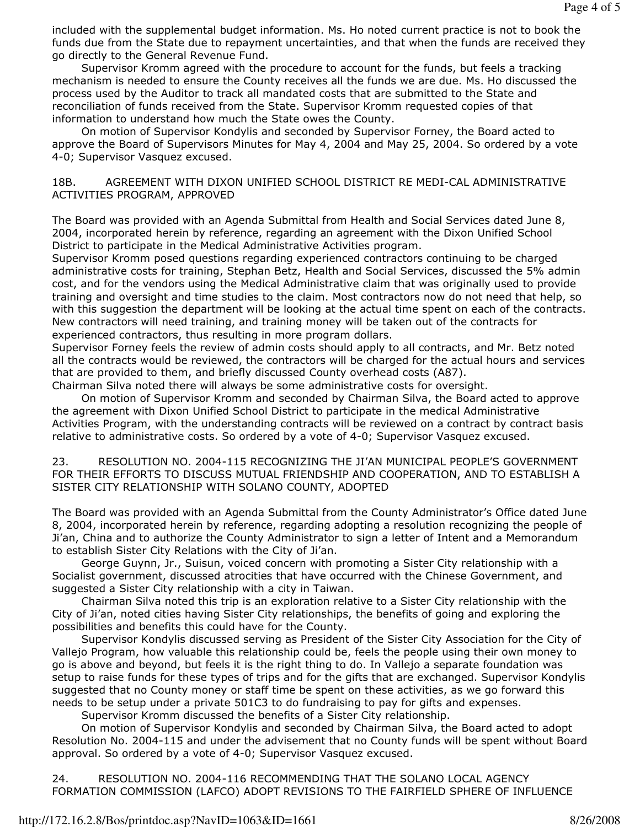included with the supplemental budget information. Ms. Ho noted current practice is not to book the funds due from the State due to repayment uncertainties, and that when the funds are received they go directly to the General Revenue Fund.

 Supervisor Kromm agreed with the procedure to account for the funds, but feels a tracking mechanism is needed to ensure the County receives all the funds we are due. Ms. Ho discussed the process used by the Auditor to track all mandated costs that are submitted to the State and reconciliation of funds received from the State. Supervisor Kromm requested copies of that information to understand how much the State owes the County.

 On motion of Supervisor Kondylis and seconded by Supervisor Forney, the Board acted to approve the Board of Supervisors Minutes for May 4, 2004 and May 25, 2004. So ordered by a vote 4-0; Supervisor Vasquez excused.

### 18B. AGREEMENT WITH DIXON UNIFIED SCHOOL DISTRICT RE MEDI-CAL ADMINISTRATIVE ACTIVITIES PROGRAM, APPROVED

The Board was provided with an Agenda Submittal from Health and Social Services dated June 8, 2004, incorporated herein by reference, regarding an agreement with the Dixon Unified School District to participate in the Medical Administrative Activities program.

Supervisor Kromm posed questions regarding experienced contractors continuing to be charged administrative costs for training, Stephan Betz, Health and Social Services, discussed the 5% admin cost, and for the vendors using the Medical Administrative claim that was originally used to provide training and oversight and time studies to the claim. Most contractors now do not need that help, so with this suggestion the department will be looking at the actual time spent on each of the contracts. New contractors will need training, and training money will be taken out of the contracts for experienced contractors, thus resulting in more program dollars.

Supervisor Forney feels the review of admin costs should apply to all contracts, and Mr. Betz noted all the contracts would be reviewed, the contractors will be charged for the actual hours and services that are provided to them, and briefly discussed County overhead costs (A87).

Chairman Silva noted there will always be some administrative costs for oversight.

 On motion of Supervisor Kromm and seconded by Chairman Silva, the Board acted to approve the agreement with Dixon Unified School District to participate in the medical Administrative Activities Program, with the understanding contracts will be reviewed on a contract by contract basis relative to administrative costs. So ordered by a vote of 4-0; Supervisor Vasquez excused.

23. RESOLUTION NO. 2004-115 RECOGNIZING THE JI'AN MUNICIPAL PEOPLE'S GOVERNMENT FOR THEIR EFFORTS TO DISCUSS MUTUAL FRIENDSHIP AND COOPERATION, AND TO ESTABLISH A SISTER CITY RELATIONSHIP WITH SOLANO COUNTY, ADOPTED

The Board was provided with an Agenda Submittal from the County Administrator's Office dated June 8, 2004, incorporated herein by reference, regarding adopting a resolution recognizing the people of Ji'an, China and to authorize the County Administrator to sign a letter of Intent and a Memorandum to establish Sister City Relations with the City of Ji'an.

 George Guynn, Jr., Suisun, voiced concern with promoting a Sister City relationship with a Socialist government, discussed atrocities that have occurred with the Chinese Government, and suggested a Sister City relationship with a city in Taiwan.

 Chairman Silva noted this trip is an exploration relative to a Sister City relationship with the City of Ji'an, noted cities having Sister City relationships, the benefits of going and exploring the possibilities and benefits this could have for the County.

 Supervisor Kondylis discussed serving as President of the Sister City Association for the City of Vallejo Program, how valuable this relationship could be, feels the people using their own money to go is above and beyond, but feels it is the right thing to do. In Vallejo a separate foundation was setup to raise funds for these types of trips and for the gifts that are exchanged. Supervisor Kondylis suggested that no County money or staff time be spent on these activities, as we go forward this needs to be setup under a private 501C3 to do fundraising to pay for gifts and expenses.

Supervisor Kromm discussed the benefits of a Sister City relationship.

 On motion of Supervisor Kondylis and seconded by Chairman Silva, the Board acted to adopt Resolution No. 2004-115 and under the advisement that no County funds will be spent without Board approval. So ordered by a vote of 4-0; Supervisor Vasquez excused.

24. RESOLUTION NO. 2004-116 RECOMMENDING THAT THE SOLANO LOCAL AGENCY FORMATION COMMISSION (LAFCO) ADOPT REVISIONS TO THE FAIRFIELD SPHERE OF INFLUENCE